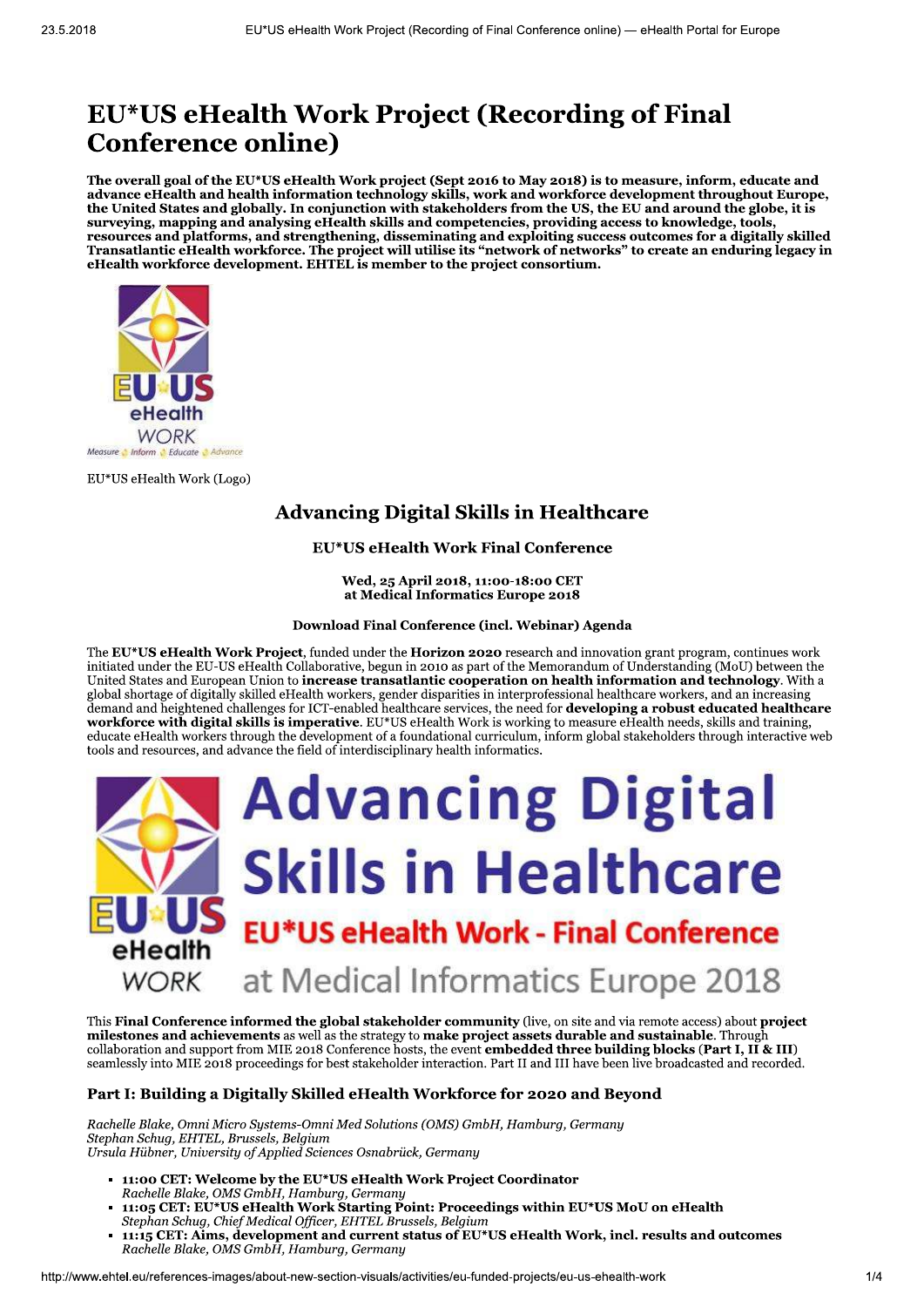# EU\*US eHealth Work Project (Recording of Final **Conference online)**

The overall goal of the EU\*US eHealth Work project (Sept 2016 to May 2018) is to measure, inform, educate and advance eHealth and health information technology skills, work and workforce development throughout Europe, the United States and globally. In conjunction with stakeholders from the US, the EU and around the globe, it is surveying, mapping and analysing eHealth skills and competencies, providing access to knowledge, tools, resources and platforms, and strengthening, disseminating and exploiting success to knowledge, tools,<br>Transatlantic eHealth workforce. The project will utilise its "network of networks" to create an enduring legacy in eHealth workforce development. EHTEL is member to the project consortium.



EU\*US eHealth Work (Logo)

# **Advancing Digital Skills in Healthcare**

## **EU\*US eHealth Work Final Conference**

Wed, 25 April 2018, 11:00-18:00 CET at Medical Informatics Europe 2018

#### Download Final Conference (incl. Webinar) Agenda

The EU\*US eHealth Work Project, funded under the Horizon 2020 research and innovation grant program, continues work initiated under the EU-US eHealth Collaborative, begun in 2010 as part of the Memorandum of Understanding (MoU) between the United States and European Union to increase transatlantic cooperation on health information and technology. With a global shortage of digitally skilled eHealth workers, gender disparities in interprofessional healthcare workers, and an increasing demand and heightened challenges for ICT-enabled healthcare services, the need for **developing a robust educated healthcare** workforce with digital skills is imperative. EU\*US eHealth Work is working to measure eHealth needs, skills and training, educate eHealth workers through the development of a foundational curriculum, inform global stakeholders through interactive web tools and resources, and advance the field of interdisciplinary health informatics.



This Final Conference informed the global stakeholder community (live, on site and via remote access) about project milestones and achievements as well as the strategy to make project assets durable and sustainable. Throug collaboration and support from MIE 2018 Conference hosts, the event **embedded three building blocks (Part I, II & III)** seamlessly into MIE 2018 proceedings for best stakeholder interaction. Part II and III have been live broadcasted and recorded.

## Part I: Building a Digitally Skilled eHealth Workforce for 2020 and Beyond

Rachelle Blake, Omni Micro Systems-Omni Med Solutions (OMS) GmbH, Hamburg, Germany Stephan Schuq, EHTEL, Brussels, Belgium Ursula Hübner, University of Applied Sciences Osnabrück, Germany

- 11:00 CET: Welcome by the EU\*US eHealth Work Project Coordinator Rachelle Blake, OMS GmbH, Hamburg, Germany
- 11:05 CET: EU\*US eHealth Work Starting Point: Proceedings within EU\*US MoU on eHealth Stephan Schug, Chief Medical Officer, EHTEL Brussels, Belgium
- 11:15 CET: Aims, development and current status of EU\*US eHealth Work, incl. results and outcomes Rachelle Blake, OMS GmbH, Hamburg, Germany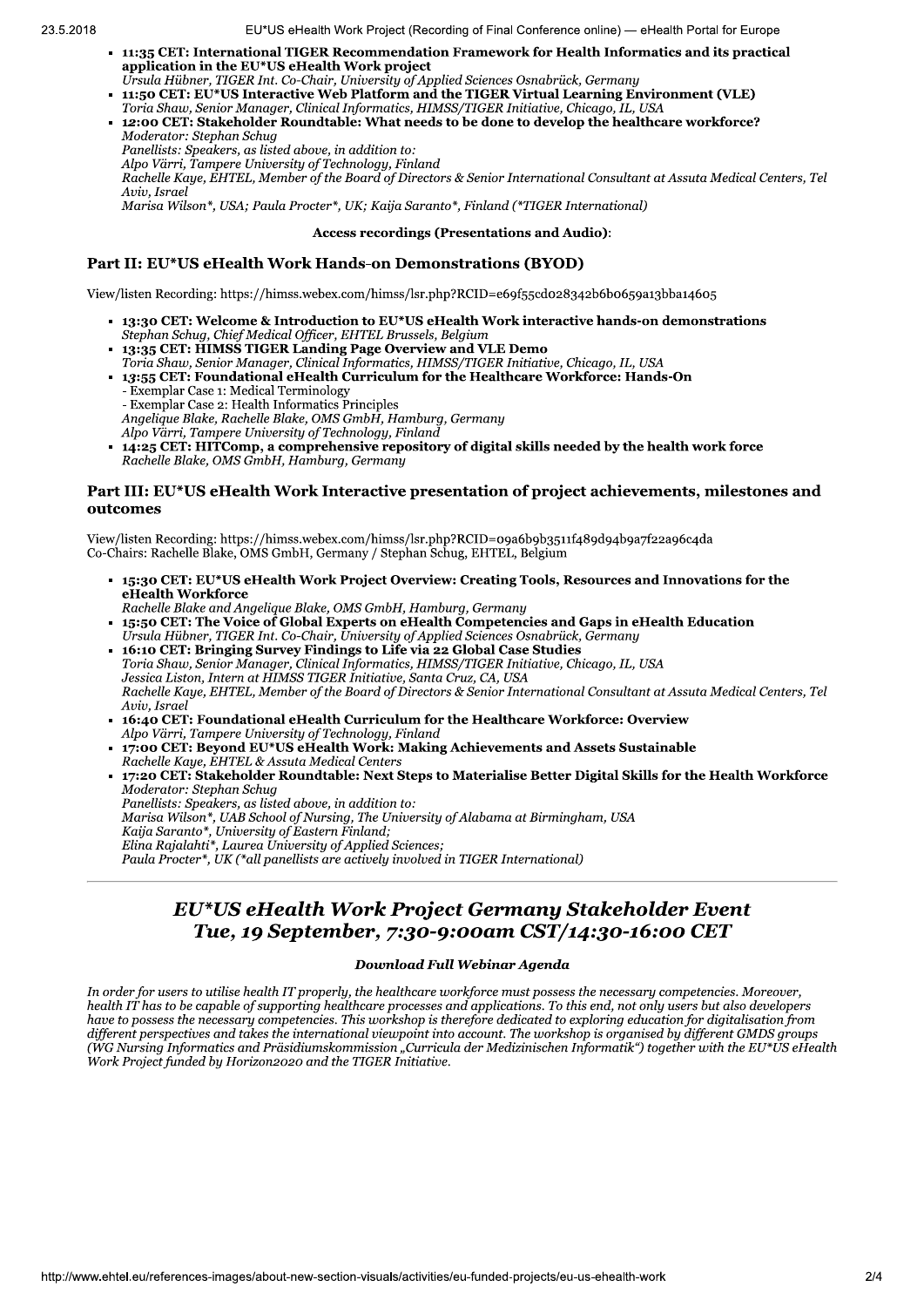- 11:35 CET: International TIGER Recommendation Framework for Health Informatics and its practical application in the EU\*US eHealth Work project
- Ursula Hübner, TIGER Int. Co-Chair, University of Applied Sciences Osnabrück, Germany<br>11:50 CET: EU\*US Interactive Web Platform and the TIGER Virtual Learning Environment (VLE)
- Toria Shaw, Senior Manager, Clinical Informatics, HIMSS/TIGER Initiative, Chicago, IL, USA
- 12:00 CET: Stakeholder Roundtable: What needs to be done to develop the healthcare workforce? Moderator: Stephan Schua Panellists: Speakers, as listed above, in addition to:
	-

Alpo Värri, Tampere University of Technology, Finland<br>Rachelle Kaye, EHTEL, Member of the Board of Directors & Senior International Consultant at Assuta Medical Centers, Tel Aviv, Israel

Marisa Wilson\*, USA; Paula Procter\*, UK; Kaija Saranto\*, Finland (\*TIGER International)

#### **Access recordings (Presentations and Audio):**

## Part II: EU\*US eHealth Work Hands-on Demonstrations (BYOD)

View/listen Recording: https://himss.webex.com/himss/lsr.php?RCID=e69f55cd028342b6b0659a13bba14605

- 13:30 CET: Welcome & Introduction to EU\*US eHealth Work interactive hands-on demonstrations Stephan Schug, Chief Medical Officer, EHTEL Brussels, Belgium
- 13:35 CET: HIMSS TIGER Landing Page Overview and VLE Demo
- Toria Shaw, Senior Manager, Clinical Informatics, HIMSS/TIGER Initiative, Chicago, IL, USA 13:55 CET: Foundational eHealth Curriculum for the Healthcare Workforce: Hands-On
- Exemplar Case 1: Medical Terminology - Exemplar Case 2: Health Informatics Principles<br>Angelique Blake, Rachelle Blake, OMS GmbH, Hamburg, Germany Alpo Värri, Tampere University of Technology, Finland 14:25 CET: HITComp, a comprehensive repository of digital skills needed by the health work force Rachelle Blake, OMS GmbH, Hamburg, Germany

#### Part III: EU\*US eHealth Work Interactive presentation of project achievements, milestones and outcomes

View/listen Recording: https://himss.webex.com/himss/lsr.php?RCID=09a6b9b3511f489d94b9a7f22a96c4da Co-Chairs: Rachelle Blake, OMS GmbH, Germany / Stephan Schug, EHTEL, Belgium

- 15:30 CET: EU\*US eHealth Work Project Overview: Creating Tools, Resources and Innovations for the eHealth Workforce
- Rachelle Blake and Angelique Blake, OMS GmbH, Hamburg, Germany
- 15:50 CET: The Voice of Global Experts on eHealth Competencies and Gaps in eHealth Education Ursula Hübner, TIGER Int. Co-Chair, University of Applied Sciences Osnabrück, Germany 16:10 CET: Bringing Survey Findings to Life via 22 Global Case Studies

Toria Shaw, Senior Manager, Clinical Informatics, HIMSS/TIGER Initiative, Chicago, IL, USA<br>Jessica Liston, Intern at HIMSS TIGER Initiative, Santa Cruz, CA, USA Rachelle Kaye, EHTEL, Member of the Board of Directors & Senior International Consultant at Assuta Medical Centers, Tel Aviv, Israel

- 16:40 CET: Foundational eHealth Curriculum for the Healthcare Workforce: Overview Alpo Värri, Tampere University of Technology, Finland
- 17:00 CET: Beyond EU\*US eHealth Work: Making Achievements and Assets Sustainable Rachelle Kaye, EHTEL & Assuta Medical Centers

17:20 CET: Stakeholder Roundtable: Next Steps to Materialise Better Digital Skills for the Health Workforce Moderator: Stephan Schuq Panellists: Speakers, as listed above, in addition to: Kaija Saranto\*, University of Eastern Finland;<br>Elina Rajalahti\*, Laurea University of Applied Sciences; Paula Procter\*, UK (\*all panellists are actively involved in TIGER International)

## EU\*US eHealth Work Project Germany Stakeholder Event Tue, 19 September, 7:30-9:00am CST/14:30-16:00 CET

## **Download Full Webinar Agenda**

In order for users to utilise health IT properly, the healthcare workforce must possess the necessary competencies. Moreover, health IT has to be capable of supporting healthcare processes and applications. To this end, not only users but also developers have to possess the necessary competencies. This workshop is therefore dedicated to exploring education for digitalisation from different perspectives and takes the international viewpoint into account. The workshop is organised by different GMDS groups (WG Nursing Informatics and Präsidiumskommission "Curricula der Medizinischen Informatik") together with the EU\*ŬS eHealth Work Project funded by Horizon2020 and the TIGER Initiative.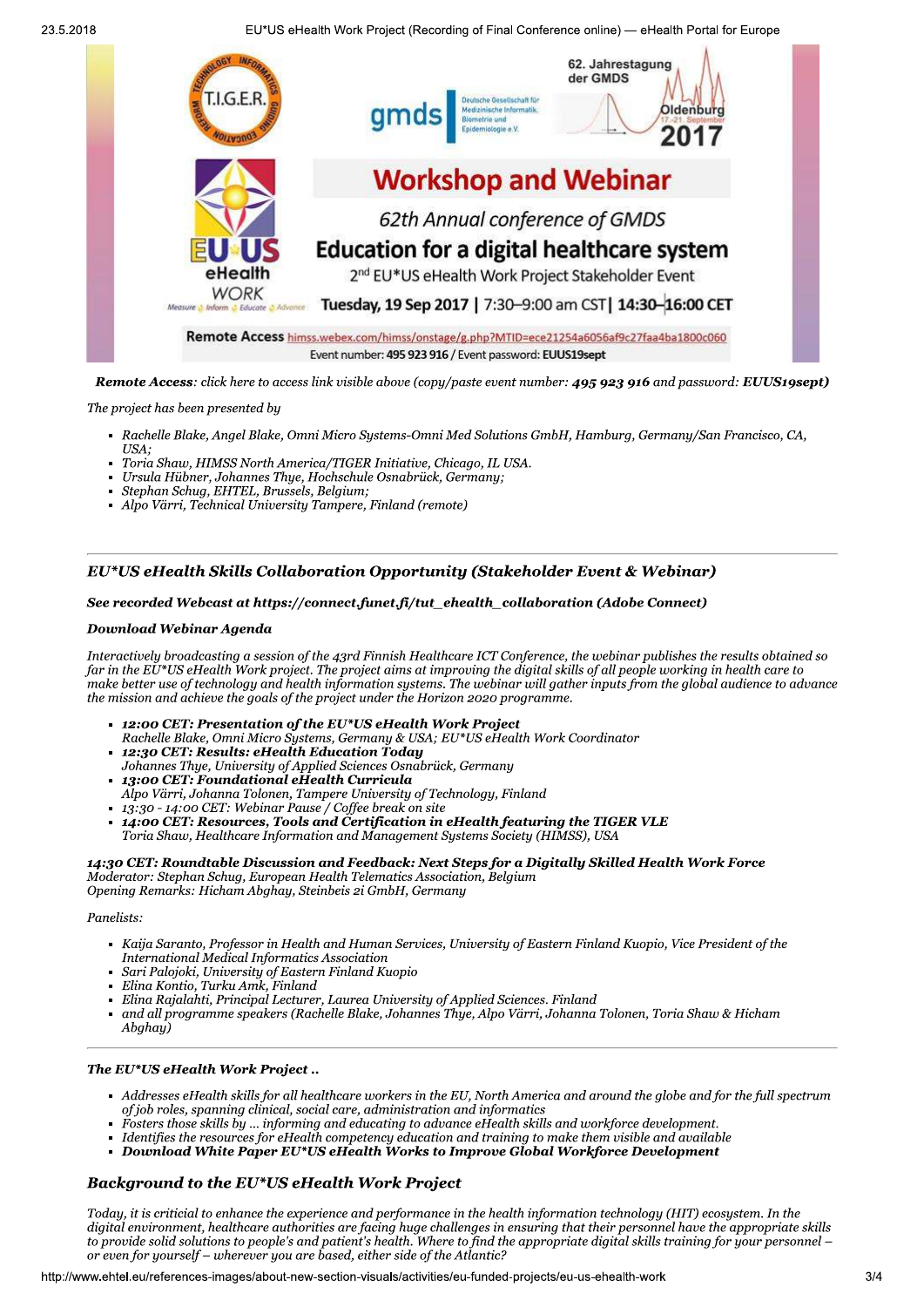23.5.2018

EU\*US eHealth Work Project (Recording of Final Conference online) — eHealth Portal for Europe



The project has been presented by

- Rachelle Blake, Angel Blake, Omni Micro Systems-Omni Med Solutions GmbH, Hamburg, Germany/San Francisco, CA,
- USA: Toria Shaw, HIMSS North America/TIGER Initiative, Chicago, IL USA.
- Ursula Hübner, Johannes Thye, Hochschule Osnabrück, Germany;
- Stephan Schug, EHTEL, Brussels, Belgium;
- Alpo Värri, Technical University Tampere, Finland (remote)

## EU\*US eHealth Skills Collaboration Opportunity (Stakeholder Event & Webinar)

#### See recorded Webcast at https://connect.funet.fi/tut\_ehealth\_collaboration (Adobe Connect)

#### **Download Webinar Agenda**

Interactively broadcasting a session of the 43rd Finnish Healthcare ICT Conference, the webinar publishes the results obtained so far in the EU\*US eHealth Work project. The project aims at improving the digital skills of all people working in health care to make better use of technology and health information systems. The webinar will gather inputs from the global audience to advance the mission and achieve the goals of the project under the Horizon 2020 programme.

- **12:00 CET: Presentation of the EU\*US eHealth Work Project** Rachelle Blake, Omni Micro Systems, Germany & USA; EU\*US eHealth Work Coordinator
- 12:30 CET: Results: eHealth Education Today
- Johannes Thye, University of Applied Sciences Osnabrück, Germany
- 13:00 CET: Foundational eHealth Curricula Alpo Värri, Johanna Tolonen, Tampere University of Technology, Finland<br>13:30 - 14:00 CET: Webinar Pause / Coffee break on site
- 
- 14:00 CET: Resources, Tools and Certification in eHealth featuring the TIGER VLE Toria Shaw, Healthcare Information and Management Systems Society (HIMSS), USA

14:30 CET: Roundtable Discussion and Feedback: Next Steps for a Digitally Skilled Health Work Force Moderator: Stephan Schuq, European Health Telematics Association, Belgium Opening Remarks: Hicham Abghay, Steinbeis 2i GmbH, Germany

#### Panelists:

- Kaija Saranto, Professor in Health and Human Services, University of Eastern Finland Kuopio, Vice President of the International Medical Informatics Association
- Sari Palojoki, University of Eastern Finland Kuopio
- Elina Kontio, Turku Amk, Finland
- Elina Rajalahti, Principal Lecturer, Laurea University of Applied Sciences. Finland
- and all programme speakers (Rachelle Blake, Johannes Thye, Alpo Värri, Johanna Tolonen, Toria Shaw & Hicham Abghay)

#### The EU\*US eHealth Work Project..

- Addresses eHealth skills for all healthcare workers in the EU, North America and around the globe and for the full spectrum of job roles, spanning clinical, social care, administration and informatics
- Fosters those skills by ... informing and educating to advance eHealth skills and workforce development.
- Identifies the resources for eHealth competency education and training to make them visible and available
- Download White Paper EU\*US eHealth Works to Improve Global Workforce Development

## **Background to the EU\*US eHealth Work Project**

Today, it is criticial to enhance the experience and performance in the health information technology (HIT) ecosystem. In the digital environment, healthcare authorities are facing huge challenges in ensuring that their personnel have the appropriate skills to provide solid solutions to people's and patient's health. Where to find the appropriate digital skills training for your personnel – or even for yourself – wherever you are based, either side of the Atlantic?